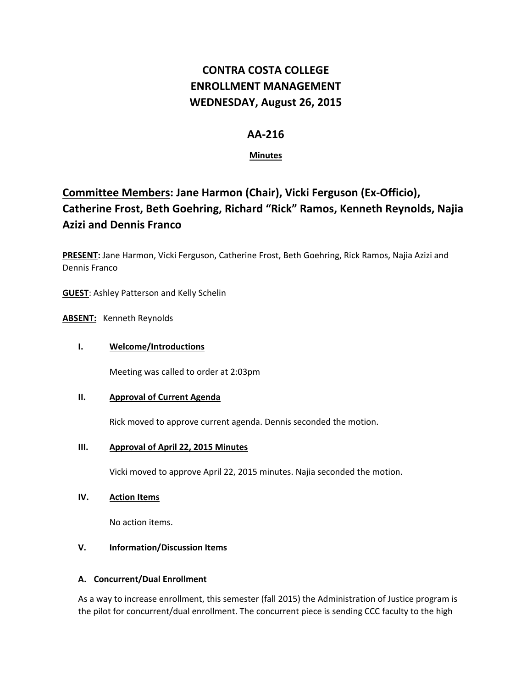# **CONTRA COSTA COLLEGE ENROLLMENT MANAGEMENT WEDNESDAY, August 26, 2015**

## **AA‐216**

## **Minutes**

# **Committee Members: Jane Harmon (Chair), Vicki Ferguson (Ex‐Officio), Catherine Frost, Beth Goehring, Richard "Rick" Ramos, Kenneth Reynolds, Najia Azizi and Dennis Franco**

**PRESENT:** Jane Harmon, Vicki Ferguson, Catherine Frost, Beth Goehring, Rick Ramos, Najia Azizi and Dennis Franco

**GUEST**: Ashley Patterson and Kelly Schelin

**ABSENT:** Kenneth Reynolds

## **I. Welcome/Introductions**

Meeting was called to order at 2:03pm

## **II. Approval of Current Agenda**

Rick moved to approve current agenda. Dennis seconded the motion.

## **III. Approval of April 22, 2015 Minutes**

Vicki moved to approve April 22, 2015 minutes. Najia seconded the motion.

## **IV. Action Items**

No action items.

## **V. Information/Discussion Items**

## **A. Concurrent/Dual Enrollment**

As a way to increase enrollment, this semester (fall 2015) the Administration of Justice program is the pilot for concurrent/dual enrollment. The concurrent piece is sending CCC faculty to the high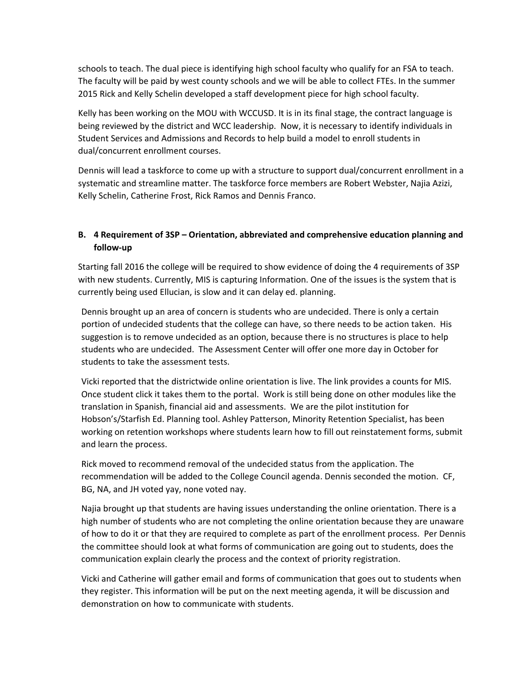schools to teach. The dual piece is identifying high school faculty who qualify for an FSA to teach. The faculty will be paid by west county schools and we will be able to collect FTEs. In the summer 2015 Rick and Kelly Schelin developed a staff development piece for high school faculty.

Kelly has been working on the MOU with WCCUSD. It is in its final stage, the contract language is being reviewed by the district and WCC leadership. Now, it is necessary to identify individuals in Student Services and Admissions and Records to help build a model to enroll students in dual/concurrent enrollment courses.

Dennis will lead a taskforce to come up with a structure to support dual/concurrent enrollment in a systematic and streamline matter. The taskforce force members are Robert Webster, Najia Azizi, Kelly Schelin, Catherine Frost, Rick Ramos and Dennis Franco.

## **B. 4 Requirement of 3SP – Orientation, abbreviated and comprehensive education planning and follow‐up**

Starting fall 2016 the college will be required to show evidence of doing the 4 requirements of 3SP with new students. Currently, MIS is capturing Information. One of the issues is the system that is currently being used Ellucian, is slow and it can delay ed. planning.

Dennis brought up an area of concern is students who are undecided. There is only a certain portion of undecided students that the college can have, so there needs to be action taken. His suggestion is to remove undecided as an option, because there is no structures is place to help students who are undecided. The Assessment Center will offer one more day in October for students to take the assessment tests.

Vicki reported that the districtwide online orientation is live. The link provides a counts for MIS. Once student click it takes them to the portal. Work is still being done on other modules like the translation in Spanish, financial aid and assessments. We are the pilot institution for Hobson's/Starfish Ed. Planning tool. Ashley Patterson, Minority Retention Specialist, has been working on retention workshops where students learn how to fill out reinstatement forms, submit and learn the process.

Rick moved to recommend removal of the undecided status from the application. The recommendation will be added to the College Council agenda. Dennis seconded the motion. CF, BG, NA, and JH voted yay, none voted nay.

Najia brought up that students are having issues understanding the online orientation. There is a high number of students who are not completing the online orientation because they are unaware of how to do it or that they are required to complete as part of the enrollment process. Per Dennis the committee should look at what forms of communication are going out to students, does the communication explain clearly the process and the context of priority registration.

Vicki and Catherine will gather email and forms of communication that goes out to students when they register. This information will be put on the next meeting agenda, it will be discussion and demonstration on how to communicate with students.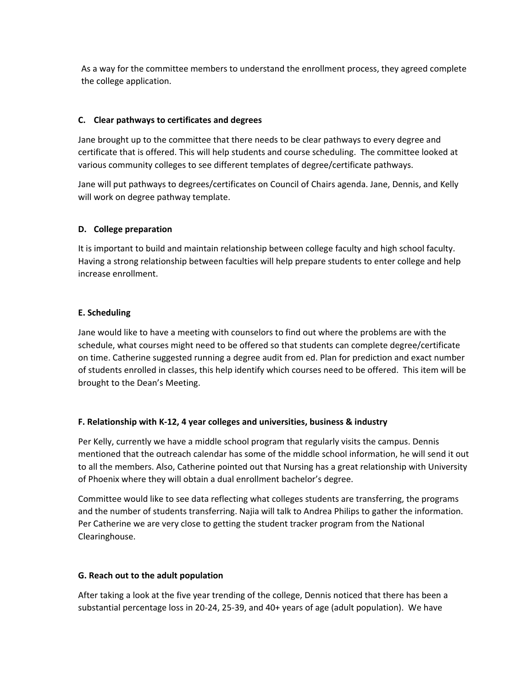As a way for the committee members to understand the enrollment process, they agreed complete the college application.

## **C. Clear pathways to certificates and degrees**

Jane brought up to the committee that there needs to be clear pathways to every degree and certificate that is offered. This will help students and course scheduling. The committee looked at various community colleges to see different templates of degree/certificate pathways.

Jane will put pathways to degrees/certificates on Council of Chairs agenda. Jane, Dennis, and Kelly will work on degree pathway template.

## **D. College preparation**

It is important to build and maintain relationship between college faculty and high school faculty. Having a strong relationship between faculties will help prepare students to enter college and help increase enrollment.

## **E. Scheduling**

Jane would like to have a meeting with counselors to find out where the problems are with the schedule, what courses might need to be offered so that students can complete degree/certificate on time. Catherine suggested running a degree audit from ed. Plan for prediction and exact number of students enrolled in classes, this help identify which courses need to be offered. This item will be brought to the Dean's Meeting.

## **F. Relationship with K‐12, 4 year colleges and universities, business & industry**

Per Kelly, currently we have a middle school program that regularly visits the campus. Dennis mentioned that the outreach calendar has some of the middle school information, he will send it out to all the members. Also, Catherine pointed out that Nursing has a great relationship with University of Phoenix where they will obtain a dual enrollment bachelor's degree.

Committee would like to see data reflecting what colleges students are transferring, the programs and the number of students transferring. Najia will talk to Andrea Philips to gather the information. Per Catherine we are very close to getting the student tracker program from the National Clearinghouse.

## **G. Reach out to the adult population**

After taking a look at the five year trending of the college, Dennis noticed that there has been a substantial percentage loss in 20‐24, 25‐39, and 40+ years of age (adult population). We have